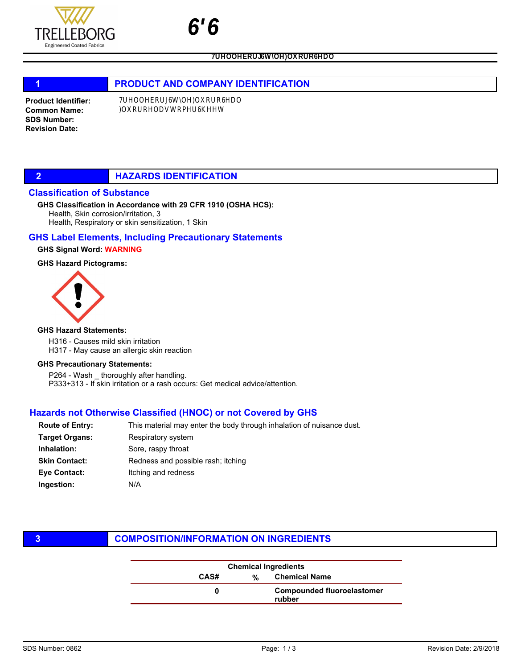

k y

# 1 **PRODUCT AND COMPANY IDENTIFICATION**

Product Identifier: Common Name: SDS Number: Revision Date:

### **2 HAZARDS IDENTIFICATION**

### Classification of Substance

#### Health, Skin corrosion/irritation, 3 Health, Respiratory or skin sensitization, 1 Skin GHS Classification in Accordance with 29 CFR 1910 (OSHA HCS):

### GHS Label Elements, Including Precautionary Statements

### GHS Signal Word: WARNING

### GHS Hazard Pictograms:



#### GHS Hazard Statements:

H316 - Causes mild skin irritation H317 - May cause an allergic skin reaction

#### GHS Precautionary Statements:

P264 - Wash \_ thoroughly after handling. P333+313 - If skin irritation or a rash occurs: Get medical advice/attention.

### Hazards not Otherwise Classified (HNOC) or not Covered by GHS

| <b>Route of Entry:</b> | This material may enter the body through inhalation of nuisance dust. |  |  |
|------------------------|-----------------------------------------------------------------------|--|--|
| <b>Target Organs:</b>  | Respiratory system                                                    |  |  |
| Inhalation:            | Sore, raspy throat                                                    |  |  |
| <b>Skin Contact:</b>   | Redness and possible rash; itching                                    |  |  |
| Eye Contact:           | Itching and redness                                                   |  |  |
| Ingestion:             | N/A                                                                   |  |  |
|                        |                                                                       |  |  |

### **3 COMPOSITION/INFORMATION ON INGREDIENTS**

| <b>Chemical Ingredients</b> |   |                                             |
|-----------------------------|---|---------------------------------------------|
| CAS#                        | % | <b>Chemical Name</b>                        |
|                             |   | <b>Compounded fluoroelastomer</b><br>rubber |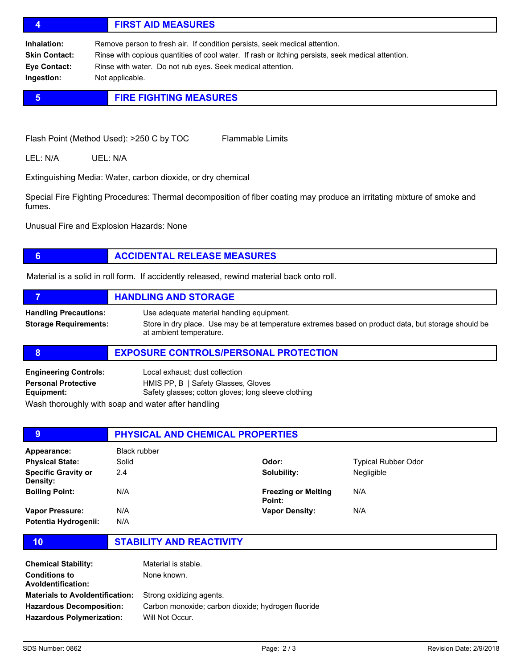# 4 FIRST AID MEASURES

Inhalation: Remove person to fresh air. If condition persists, seek medical attention. Skin Contact: Rinse with copious quantities of cool water. If rash or itching persists, seek medical attention. Eye Contact: Rinse with water. Do not rub eyes. Seek medical attention. Ingestion: Not applicable.

# **5 FIRE FIGHTING MEASURES**

Flash Point (Method Used): >250 C by TOC Flammable Limits

LEL: N/A UEL: N/A

Extinguishing Media: Water, carbon dioxide, or dry chemical

Special Fire Fighting Procedures: Thermal decomposition of fiber coating may produce an irritating mixture of smoke and fumes.

Unusual Fire and Explosion Hazards: None

# **6 ACCIDENTAL RELEASE MEASURES**

Material is a solid in roll form. If accidently released, rewind material back onto roll.

|                                                              | <b>HANDLING AND STORAGE</b>                                                                                                                                                 |
|--------------------------------------------------------------|-----------------------------------------------------------------------------------------------------------------------------------------------------------------------------|
| <b>Handling Precautions:</b><br><b>Storage Requirements:</b> | Use adequate material handling equipment.<br>Store in dry place. Use may be at temperature extremes based on product data, but storage should be<br>at ambient temperature. |

### 8 **EXPOSURE CONTROLS/PERSONAL PROTECTION**

| <b>Engineering Controls:</b>                                                                                   | Local exhaust; dust collection                      |
|----------------------------------------------------------------------------------------------------------------|-----------------------------------------------------|
| <b>Personal Protective</b>                                                                                     | HMIS PP, B   Safety Glasses, Gloves                 |
| Equipment:                                                                                                     | Safety glasses; cotton gloves; long sleeve clothing |
| 1874 - El alban estadunio de la constitución estadunidades de la constitución de la constitución de la constit |                                                     |

Wash thoroughly with soap and water after handling

| 9                                      | <b>PHYSICAL AND CHEMICAL PROPERTIES</b> |                                      |                            |  |
|----------------------------------------|-----------------------------------------|--------------------------------------|----------------------------|--|
| Appearance:                            | Black rubber                            |                                      |                            |  |
| <b>Physical State:</b>                 | Solid                                   | Odor:                                | <b>Typical Rubber Odor</b> |  |
| <b>Specific Gravity or</b><br>Density: | 2.4                                     | Solubility:                          | Negligible                 |  |
| <b>Boiling Point:</b>                  | N/A                                     | <b>Freezing or Melting</b><br>Point: | N/A                        |  |
| Vapor Pressure:                        | N/A                                     | <b>Vapor Density:</b>                | N/A                        |  |
| Potentia Hydrogenii:                   | N/A                                     |                                      |                            |  |

10 STABILITY AND REACTIVITY

| <b>Chemical Stability:</b><br><b>Conditions to</b><br><b>Avoldentification:</b> | Material is stable.<br>None known.                                             |
|---------------------------------------------------------------------------------|--------------------------------------------------------------------------------|
| <b>Materials to Avoldentification:</b><br><b>Hazardous Decomposition:</b>       | Strong oxidizing agents.<br>Carbon monoxide; carbon dioxide; hydrogen fluoride |
| <b>Hazardous Polymerization:</b>                                                | Will Not Occur.                                                                |